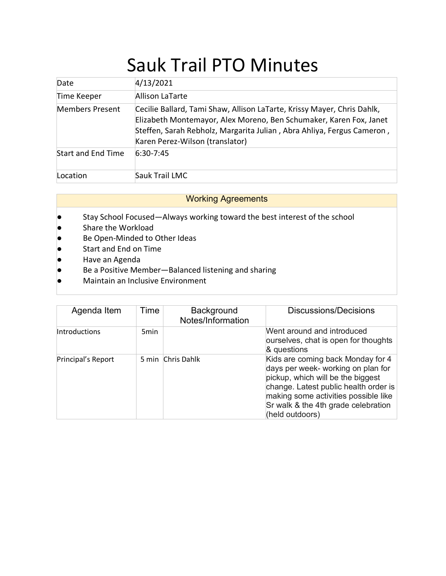## Sauk Trail PTO Minutes

| Date                      | 4/13/2021                                                                                                                                                                                                                                                  |
|---------------------------|------------------------------------------------------------------------------------------------------------------------------------------------------------------------------------------------------------------------------------------------------------|
| Time Keeper               | Allison LaTarte                                                                                                                                                                                                                                            |
| Members Present           | Cecilie Ballard, Tami Shaw, Allison LaTarte, Krissy Mayer, Chris Dahlk,<br>Elizabeth Montemayor, Alex Moreno, Ben Schumaker, Karen Fox, Janet<br>Steffen, Sarah Rebholz, Margarita Julian, Abra Ahliya, Fergus Cameron,<br>Karen Perez-Wilson (translator) |
| <b>Start and End Time</b> | $6:30 - 7:45$                                                                                                                                                                                                                                              |
| Location                  | Sauk Trail LMC                                                                                                                                                                                                                                             |

## Working Agreements

- Stay School Focused—Always working toward the best interest of the school
- Share the Workload
- Be Open-Minded to Other Ideas
- Start and End on Time
- Have an Agenda
- Be a Positive Member-Balanced listening and sharing
- Maintain an Inclusive Environment

| Agenda Item        | Time             | Background<br>Notes/Information | Discussions/Decisions                                                                                                                                                                                                                                   |
|--------------------|------------------|---------------------------------|---------------------------------------------------------------------------------------------------------------------------------------------------------------------------------------------------------------------------------------------------------|
| Introductions      | 5 <sub>min</sub> |                                 | Went around and introduced<br>ourselves, chat is open for thoughts<br>& questions                                                                                                                                                                       |
| Principal's Report |                  | 5 min Chris Dahlk               | Kids are coming back Monday for 4<br>days per week- working on plan for<br>pickup, which will be the biggest<br>change. Latest public health order is<br>making some activities possible like<br>Sr walk & the 4th grade celebration<br>(held outdoors) |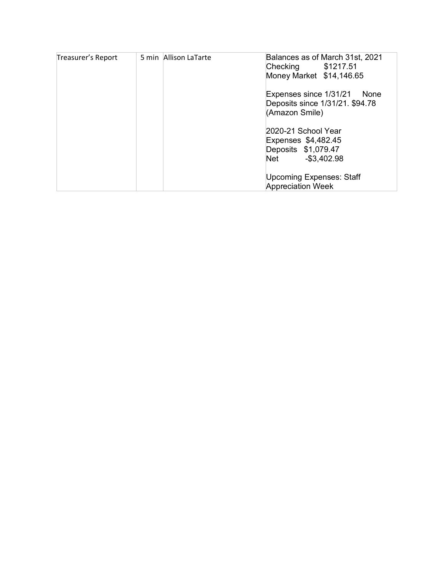| Treasurer's Report | 5 min Allison LaTarte | Balances as of March 31st, 2021<br>Checking \$1217.51                                      |
|--------------------|-----------------------|--------------------------------------------------------------------------------------------|
|                    |                       | Money Market \$14,146.65                                                                   |
|                    |                       | Expenses since 1/31/21<br>None<br>Deposits since 1/31/21. \$94.78<br>(Amazon Smile)        |
|                    |                       | 2020-21 School Year<br>Expenses \$4,482.45<br>Deposits \$1,079.47<br>$-$ \$3,402.98<br>Net |
|                    |                       | <b>Upcoming Expenses: Staff</b><br><b>Appreciation Week</b>                                |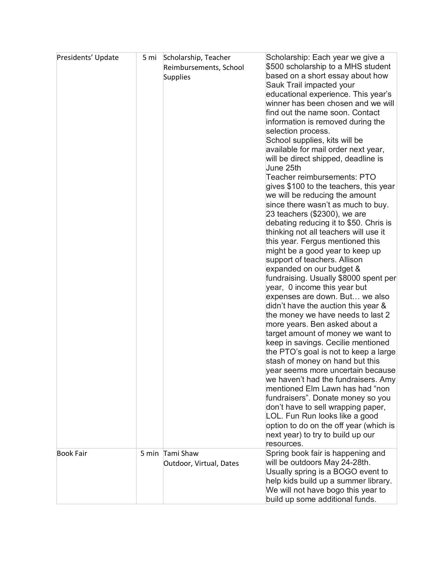| Presidents' Update | 5 mi | Scholarship, Teacher<br>Reimbursements, School<br><b>Supplies</b> | Scholarship: Each year we give a<br>\$500 scholarship to a MHS student<br>based on a short essay about how<br>Sauk Trail impacted your<br>educational experience. This year's<br>winner has been chosen and we will<br>find out the name soon. Contact<br>information is removed during the<br>selection process.<br>School supplies, kits will be<br>available for mail order next year,<br>will be direct shipped, deadline is<br>June 25th<br>Teacher reimbursements: PTO<br>gives \$100 to the teachers, this year<br>we will be reducing the amount<br>since there wasn't as much to buy.<br>23 teachers (\$2300), we are<br>debating reducing it to \$50. Chris is<br>thinking not all teachers will use it<br>this year. Fergus mentioned this<br>might be a good year to keep up<br>support of teachers. Allison<br>expanded on our budget &<br>fundraising. Usually \$8000 spent per<br>year, 0 income this year but<br>expenses are down. But we also<br>didn't have the auction this year &<br>the money we have needs to last 2<br>more years. Ben asked about a<br>target amount of money we want to<br>keep in savings. Cecilie mentioned<br>the PTO's goal is not to keep a large<br>stash of money on hand but this<br>year seems more uncertain because<br>we haven't had the fundraisers. Amy<br>mentioned Elm Lawn has had "non<br>fundraisers". Donate money so you<br>don't have to sell wrapping paper,<br>LOL. Fun Run looks like a good<br>option to do on the off year (which is<br>next year) to try to build up our<br>resources. |
|--------------------|------|-------------------------------------------------------------------|--------------------------------------------------------------------------------------------------------------------------------------------------------------------------------------------------------------------------------------------------------------------------------------------------------------------------------------------------------------------------------------------------------------------------------------------------------------------------------------------------------------------------------------------------------------------------------------------------------------------------------------------------------------------------------------------------------------------------------------------------------------------------------------------------------------------------------------------------------------------------------------------------------------------------------------------------------------------------------------------------------------------------------------------------------------------------------------------------------------------------------------------------------------------------------------------------------------------------------------------------------------------------------------------------------------------------------------------------------------------------------------------------------------------------------------------------------------------------------------------------------------------------------------------------------------|
| <b>Book Fair</b>   |      | 5 min Tami Shaw<br>Outdoor, Virtual, Dates                        | Spring book fair is happening and<br>will be outdoors May 24-28th.<br>Usually spring is a BOGO event to<br>help kids build up a summer library.<br>We will not have bogo this year to<br>build up some additional funds.                                                                                                                                                                                                                                                                                                                                                                                                                                                                                                                                                                                                                                                                                                                                                                                                                                                                                                                                                                                                                                                                                                                                                                                                                                                                                                                                     |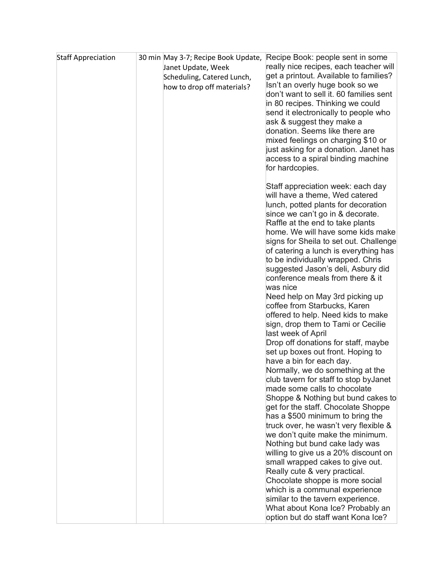| <b>Staff Appreciation</b> | 30 min May 3-7; Recipe Book Update,<br>Janet Update, Week<br>Scheduling, Catered Lunch, | Recipe Book: people sent in some<br>really nice recipes, each teacher will<br>get a printout. Available to families?<br>Isn't an overly huge book so we |
|---------------------------|-----------------------------------------------------------------------------------------|---------------------------------------------------------------------------------------------------------------------------------------------------------|
|                           | how to drop off materials?                                                              | don't want to sell it. 60 families sent<br>in 80 recipes. Thinking we could<br>send it electronically to people who                                     |
|                           |                                                                                         | ask & suggest they make a<br>donation. Seems like there are<br>mixed feelings on charging \$10 or<br>just asking for a donation. Janet has              |
|                           |                                                                                         | access to a spiral binding machine<br>for hardcopies.                                                                                                   |
|                           |                                                                                         | Staff appreciation week: each day<br>will have a theme, Wed catered<br>lunch, potted plants for decoration                                              |
|                           |                                                                                         | since we can't go in & decorate.<br>Raffle at the end to take plants<br>home. We will have some kids make                                               |
|                           |                                                                                         | signs for Sheila to set out. Challenge<br>of catering a lunch is everything has                                                                         |
|                           |                                                                                         | to be individually wrapped. Chris<br>suggested Jason's deli, Asbury did<br>conference meals from there & it                                             |
|                           |                                                                                         | was nice<br>Need help on May 3rd picking up<br>coffee from Starbucks, Karen                                                                             |
|                           |                                                                                         | offered to help. Need kids to make<br>sign, drop them to Tami or Cecilie                                                                                |
|                           |                                                                                         | last week of April<br>Drop off donations for staff, maybe<br>set up boxes out front. Hoping to                                                          |
|                           |                                                                                         | have a bin for each day.<br>Normally, we do something at the                                                                                            |
|                           |                                                                                         | club tavern for staff to stop by Janet<br>made some calls to chocolate<br>Shoppe & Nothing but bund cakes to                                            |
|                           |                                                                                         | get for the staff. Chocolate Shoppe<br>has a \$500 minimum to bring the                                                                                 |
|                           |                                                                                         | truck over, he wasn't very flexible &<br>we don't quite make the minimum.<br>Nothing but bund cake lady was                                             |
|                           |                                                                                         | willing to give us a 20% discount on<br>small wrapped cakes to give out.                                                                                |
|                           |                                                                                         | Really cute & very practical.<br>Chocolate shoppe is more social                                                                                        |
|                           |                                                                                         | which is a communal experience<br>similar to the tavern experience.                                                                                     |
|                           |                                                                                         | What about Kona Ice? Probably an<br>option but do staff want Kona Ice?                                                                                  |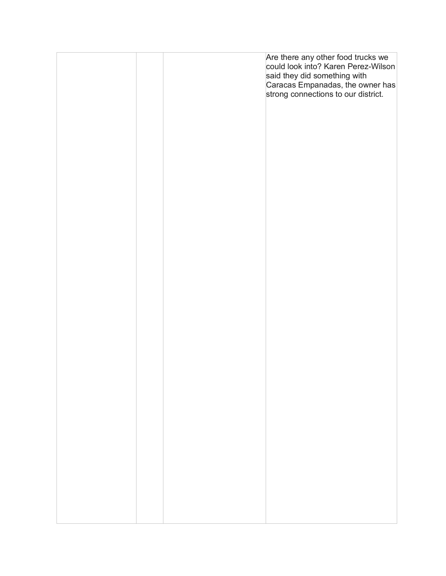|  | Are there any other food trucks we<br>could look into? Karen Perez-Wilson                               |
|--|---------------------------------------------------------------------------------------------------------|
|  | said they did something with<br>Caracas Empanadas, the owner has<br>strong connections to our district. |
|  |                                                                                                         |
|  |                                                                                                         |
|  |                                                                                                         |
|  |                                                                                                         |
|  |                                                                                                         |
|  |                                                                                                         |
|  |                                                                                                         |
|  |                                                                                                         |
|  |                                                                                                         |
|  |                                                                                                         |
|  |                                                                                                         |
|  |                                                                                                         |
|  |                                                                                                         |
|  |                                                                                                         |
|  |                                                                                                         |
|  |                                                                                                         |
|  |                                                                                                         |
|  |                                                                                                         |
|  |                                                                                                         |